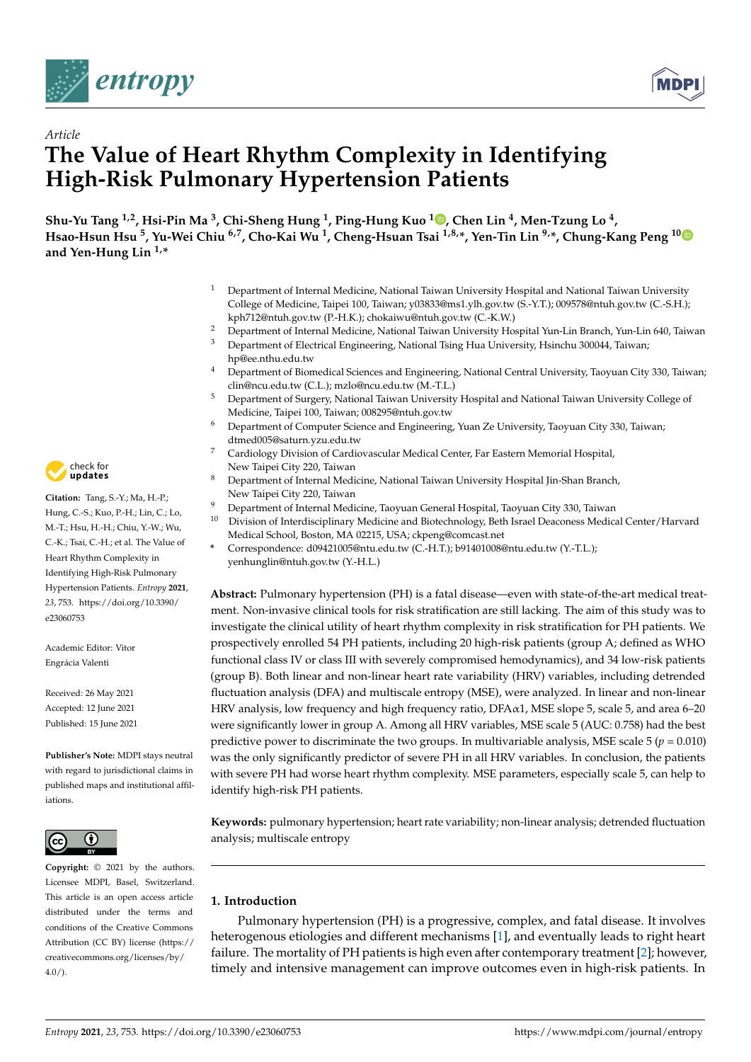



# *Article* **The Value of Heart Rhythm Complexity in Identifying High-Risk Pulmonary Hypertension Patients**

**Shu-Yu Tang 1,2, Hsi-Pin Ma <sup>3</sup> , Chi-Sheng Hung <sup>1</sup> , Ping-Hung Kuo <sup>1</sup> [,](https://orcid.org/0000-0003-3756-3395) Chen Lin <sup>4</sup> , Men-Tzung Lo <sup>4</sup> , Hsao-Hsun Hsu <sup>5</sup> , Yu-Wei Chiu 6,7, Cho-Kai Wu <sup>1</sup> , Cheng-Hsuan Tsai 1,8,\*, Yen-Tin Lin 9,\*, Chung-Kang Peng 1[0](https://orcid.org/0000-0003-3666-9833) and Yen-Hung Lin 1,\***

- <sup>1</sup> Department of Internal Medicine, National Taiwan University Hospital and National Taiwan University College of Medicine, Taipei 100, Taiwan; y03833@ms1.ylh.gov.tw (S.-Y.T.); 009578@ntuh.gov.tw (C.-S.H.); kph712@ntuh.gov.tw (P.-H.K.); chokaiwu@ntuh.gov.tw (C.-K.W.)
- <sup>2</sup> Department of Internal Medicine, National Taiwan University Hospital Yun-Lin Branch, Yun-Lin 640, Taiwan

<sup>3</sup> Department of Electrical Engineering, National Tsing Hua University, Hsinchu 300044, Taiwan; hp@ee.nthu.edu.tw

- <sup>4</sup> Department of Biomedical Sciences and Engineering, National Central University, Taoyuan City 330, Taiwan; clin@ncu.edu.tw (C.L.); mzlo@ncu.edu.tw (M.-T.L.)
- <sup>5</sup> Department of Surgery, National Taiwan University Hospital and National Taiwan University College of Medicine, Taipei 100, Taiwan; 008295@ntuh.gov.tw
- <sup>6</sup> Department of Computer Science and Engineering, Yuan Ze University, Taoyuan City 330, Taiwan; dtmed005@saturn.yzu.edu.tw
- <sup>7</sup> Cardiology Division of Cardiovascular Medical Center, Far Eastern Memorial Hospital, New Taipei City 220, Taiwan
- <sup>8</sup> Department of Internal Medicine, National Taiwan University Hospital Jin-Shan Branch, New Taipei City 220, Taiwan
- <sup>9</sup> Department of Internal Medicine, Taoyuan General Hospital, Taoyuan City 330, Taiwan
- <sup>10</sup> Division of Interdisciplinary Medicine and Biotechnology, Beth Israel Deaconess Medical Center/Harvard Medical School, Boston, MA 02215, USA; ckpeng@comcast.net
- **\*** Correspondence: d09421005@ntu.edu.tw (C.-H.T.); b91401008@ntu.edu.tw (Y.-T.L.); yenhunglin@ntuh.gov.tw (Y.-H.L.)

**Abstract:** Pulmonary hypertension (PH) is a fatal disease—even with state-of-the-art medical treatment. Non-invasive clinical tools for risk stratification are still lacking. The aim of this study was to investigate the clinical utility of heart rhythm complexity in risk stratification for PH patients. We prospectively enrolled 54 PH patients, including 20 high-risk patients (group A; defined as WHO functional class IV or class III with severely compromised hemodynamics), and 34 low-risk patients (group B). Both linear and non-linear heart rate variability (HRV) variables, including detrended fluctuation analysis (DFA) and multiscale entropy (MSE), were analyzed. In linear and non-linear HRV analysis, low frequency and high frequency ratio, DFA $\alpha$ 1, MSE slope 5, scale 5, and area 6–20 were significantly lower in group A. Among all HRV variables, MSE scale 5 (AUC: 0.758) had the best predictive power to discriminate the two groups. In multivariable analysis, MSE scale  $5 (p = 0.010)$ was the only significantly predictor of severe PH in all HRV variables. In conclusion, the patients with severe PH had worse heart rhythm complexity. MSE parameters, especially scale 5, can help to identify high-risk PH patients.

**Keywords:** pulmonary hypertension; heart rate variability; non-linear analysis; detrended fluctuation analysis; multiscale entropy

# **1. Introduction**

Pulmonary hypertension (PH) is a progressive, complex, and fatal disease. It involves heterogenous etiologies and different mechanisms [\[1\]](#page-10-0), and eventually leads to right heart failure. The mortality of PH patients is high even after contemporary treatment [\[2\]](#page-10-1); however, timely and intensive management can improve outcomes even in high-risk patients. In



**Citation:** Tang, S.-Y.; Ma, H.-P.; Hung, C.-S.; Kuo, P.-H.; Lin, C.; Lo, M.-T.; Hsu, H.-H.; Chiu, Y.-W.; Wu, C.-K.; Tsai, C.-H.; et al. The Value of Heart Rhythm Complexity in Identifying High-Risk Pulmonary Hypertension Patients. *Entropy* **2021**, *23*, 753. [https://doi.org/10.3390/](https://doi.org/10.3390/e23060753) [e23060753](https://doi.org/10.3390/e23060753)

Academic Editor: Vitor Engrácia Valenti

Received: 26 May 2021 Accepted: 12 June 2021 Published: 15 June 2021

**Publisher's Note:** MDPI stays neutral with regard to jurisdictional claims in published maps and institutional affiliations.



**Copyright:** © 2021 by the authors. Licensee MDPI, Basel, Switzerland. This article is an open access article distributed under the terms and conditions of the Creative Commons Attribution (CC BY) license (https:/[/](https://creativecommons.org/licenses/by/4.0/) [creativecommons.org/licenses/by/](https://creativecommons.org/licenses/by/4.0/)  $4.0/$ ).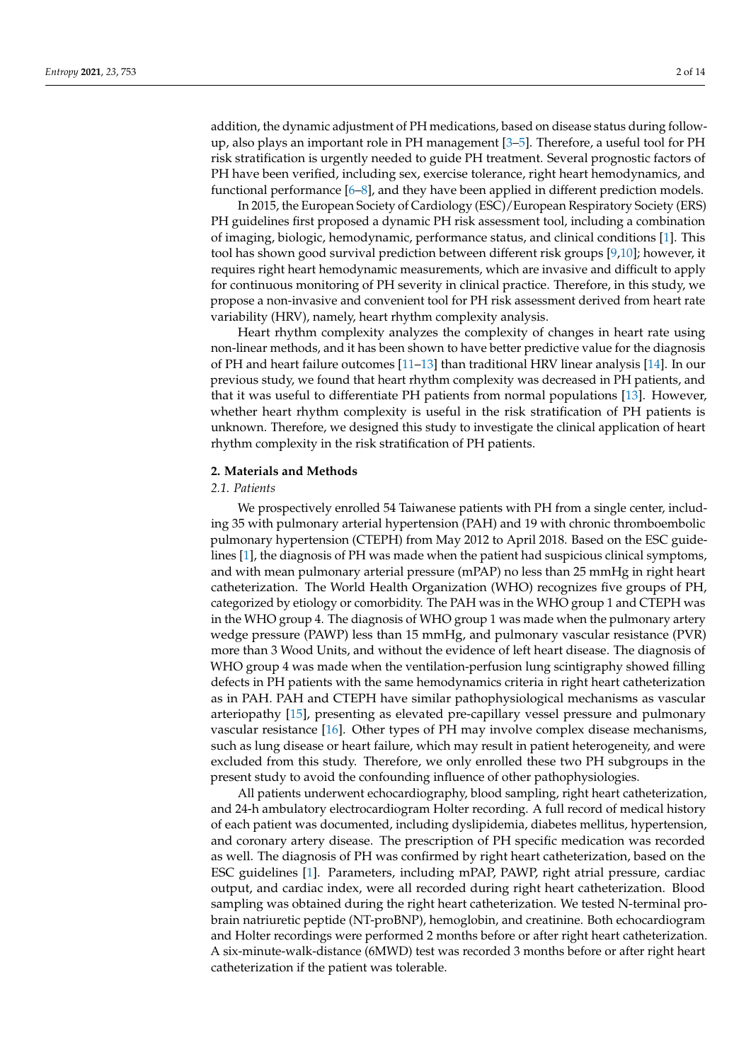addition, the dynamic adjustment of PH medications, based on disease status during followup, also plays an important role in PH management [\[3](#page-10-2)[–5\]](#page-10-3). Therefore, a useful tool for PH risk stratification is urgently needed to guide PH treatment. Several prognostic factors of PH have been verified, including sex, exercise tolerance, right heart hemodynamics, and functional performance [\[6–](#page-10-4)[8\]](#page-11-0), and they have been applied in different prediction models.

In 2015, the European Society of Cardiology (ESC)/European Respiratory Society (ERS) PH guidelines first proposed a dynamic PH risk assessment tool, including a combination of imaging, biologic, hemodynamic, performance status, and clinical conditions [\[1\]](#page-10-0). This tool has shown good survival prediction between different risk groups [\[9](#page-11-1)[,10\]](#page-11-2); however, it requires right heart hemodynamic measurements, which are invasive and difficult to apply for continuous monitoring of PH severity in clinical practice. Therefore, in this study, we propose a non-invasive and convenient tool for PH risk assessment derived from heart rate variability (HRV), namely, heart rhythm complexity analysis.

Heart rhythm complexity analyzes the complexity of changes in heart rate using non-linear methods, and it has been shown to have better predictive value for the diagnosis of PH and heart failure outcomes [\[11–](#page-11-3)[13\]](#page-11-4) than traditional HRV linear analysis [\[14\]](#page-11-5). In our previous study, we found that heart rhythm complexity was decreased in PH patients, and that it was useful to differentiate PH patients from normal populations [\[13\]](#page-11-4). However, whether heart rhythm complexity is useful in the risk stratification of PH patients is unknown. Therefore, we designed this study to investigate the clinical application of heart rhythm complexity in the risk stratification of PH patients.

#### **2. Materials and Methods**

### *2.1. Patients*

We prospectively enrolled 54 Taiwanese patients with PH from a single center, including 35 with pulmonary arterial hypertension (PAH) and 19 with chronic thromboembolic pulmonary hypertension (CTEPH) from May 2012 to April 2018. Based on the ESC guidelines [\[1\]](#page-10-0), the diagnosis of PH was made when the patient had suspicious clinical symptoms, and with mean pulmonary arterial pressure (mPAP) no less than 25 mmHg in right heart catheterization. The World Health Organization (WHO) recognizes five groups of PH, categorized by etiology or comorbidity. The PAH was in the WHO group 1 and CTEPH was in the WHO group 4. The diagnosis of WHO group 1 was made when the pulmonary artery wedge pressure (PAWP) less than 15 mmHg, and pulmonary vascular resistance (PVR) more than 3 Wood Units, and without the evidence of left heart disease. The diagnosis of WHO group 4 was made when the ventilation-perfusion lung scintigraphy showed filling defects in PH patients with the same hemodynamics criteria in right heart catheterization as in PAH. PAH and CTEPH have similar pathophysiological mechanisms as vascular arteriopathy [\[15\]](#page-11-6), presenting as elevated pre-capillary vessel pressure and pulmonary vascular resistance [\[16\]](#page-11-7). Other types of PH may involve complex disease mechanisms, such as lung disease or heart failure, which may result in patient heterogeneity, and were excluded from this study. Therefore, we only enrolled these two PH subgroups in the present study to avoid the confounding influence of other pathophysiologies.

All patients underwent echocardiography, blood sampling, right heart catheterization, and 24-h ambulatory electrocardiogram Holter recording. A full record of medical history of each patient was documented, including dyslipidemia, diabetes mellitus, hypertension, and coronary artery disease. The prescription of PH specific medication was recorded as well. The diagnosis of PH was confirmed by right heart catheterization, based on the ESC guidelines [\[1\]](#page-10-0). Parameters, including mPAP, PAWP, right atrial pressure, cardiac output, and cardiac index, were all recorded during right heart catheterization. Blood sampling was obtained during the right heart catheterization. We tested N-terminal probrain natriuretic peptide (NT-proBNP), hemoglobin, and creatinine. Both echocardiogram and Holter recordings were performed 2 months before or after right heart catheterization. A six-minute-walk-distance (6MWD) test was recorded 3 months before or after right heart catheterization if the patient was tolerable.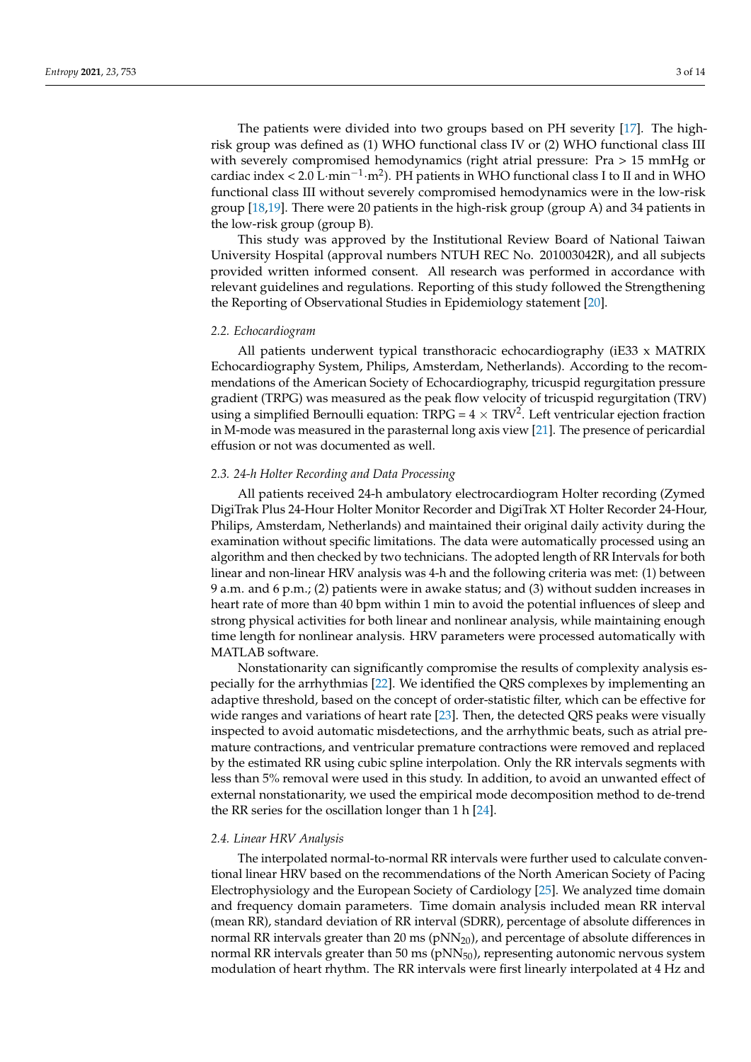The patients were divided into two groups based on PH severity [\[17\]](#page-11-8). The highrisk group was defined as (1) WHO functional class IV or (2) WHO functional class III with severely compromised hemodynamics (right atrial pressure: Pra > 15 mmHg or cardiac index < 2.0 L·min<sup>-1</sup>·m<sup>2</sup>). PH patients in WHO functional class I to II and in WHO functional class III without severely compromised hemodynamics were in the low-risk group [\[18,](#page-11-9)[19\]](#page-11-10). There were 20 patients in the high-risk group (group A) and 34 patients in the low-risk group (group B).

This study was approved by the Institutional Review Board of National Taiwan University Hospital (approval numbers NTUH REC No. 201003042R), and all subjects provided written informed consent. All research was performed in accordance with relevant guidelines and regulations. Reporting of this study followed the Strengthening the Reporting of Observational Studies in Epidemiology statement [\[20\]](#page-11-11).

#### *2.2. Echocardiogram*

All patients underwent typical transthoracic echocardiography (iE33 x MATRIX Echocardiography System, Philips, Amsterdam, Netherlands). According to the recommendations of the American Society of Echocardiography, tricuspid regurgitation pressure gradient (TRPG) was measured as the peak flow velocity of tricuspid regurgitation (TRV) using a simplified Bernoulli equation:  $TRPG = 4 \times TRV^2$ . Left ventricular ejection fraction in M-mode was measured in the parasternal long axis view [\[21\]](#page-11-12). The presence of pericardial effusion or not was documented as well.

# *2.3. 24-h Holter Recording and Data Processing*

All patients received 24-h ambulatory electrocardiogram Holter recording (Zymed DigiTrak Plus 24-Hour Holter Monitor Recorder and DigiTrak XT Holter Recorder 24-Hour, Philips, Amsterdam, Netherlands) and maintained their original daily activity during the examination without specific limitations. The data were automatically processed using an algorithm and then checked by two technicians. The adopted length of RR Intervals for both linear and non-linear HRV analysis was 4-h and the following criteria was met: (1) between 9 a.m. and 6 p.m.; (2) patients were in awake status; and (3) without sudden increases in heart rate of more than 40 bpm within 1 min to avoid the potential influences of sleep and strong physical activities for both linear and nonlinear analysis, while maintaining enough time length for nonlinear analysis. HRV parameters were processed automatically with MATLAB software.

Nonstationarity can significantly compromise the results of complexity analysis especially for the arrhythmias [\[22\]](#page-11-13). We identified the QRS complexes by implementing an adaptive threshold, based on the concept of order-statistic filter, which can be effective for wide ranges and variations of heart rate [\[23\]](#page-11-14). Then, the detected QRS peaks were visually inspected to avoid automatic misdetections, and the arrhythmic beats, such as atrial premature contractions, and ventricular premature contractions were removed and replaced by the estimated RR using cubic spline interpolation. Only the RR intervals segments with less than 5% removal were used in this study. In addition, to avoid an unwanted effect of external nonstationarity, we used the empirical mode decomposition method to de-trend the RR series for the oscillation longer than 1 h [\[24\]](#page-11-15).

#### *2.4. Linear HRV Analysis*

The interpolated normal-to-normal RR intervals were further used to calculate conventional linear HRV based on the recommendations of the North American Society of Pacing Electrophysiology and the European Society of Cardiology [\[25\]](#page-11-16). We analyzed time domain and frequency domain parameters. Time domain analysis included mean RR interval (mean RR), standard deviation of RR interval (SDRR), percentage of absolute differences in normal RR intervals greater than 20 ms  $(pNN_{20})$ , and percentage of absolute differences in normal RR intervals greater than 50 ms  $(pNN_{50})$ , representing autonomic nervous system modulation of heart rhythm. The RR intervals were first linearly interpolated at 4 Hz and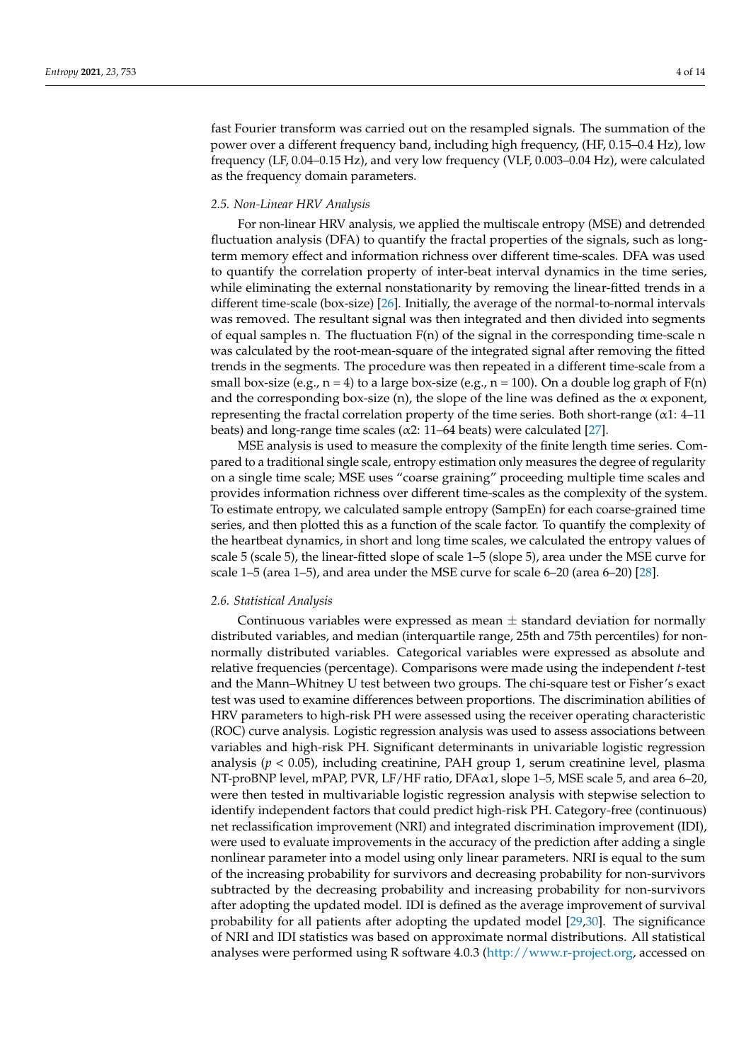fast Fourier transform was carried out on the resampled signals. The summation of the power over a different frequency band, including high frequency, (HF, 0.15–0.4 Hz), low frequency (LF, 0.04–0.15 Hz), and very low frequency (VLF, 0.003–0.04 Hz), were calculated as the frequency domain parameters.

# *2.5. Non-Linear HRV Analysis*

For non-linear HRV analysis, we applied the multiscale entropy (MSE) and detrended fluctuation analysis (DFA) to quantify the fractal properties of the signals, such as longterm memory effect and information richness over different time-scales. DFA was used to quantify the correlation property of inter-beat interval dynamics in the time series, while eliminating the external nonstationarity by removing the linear-fitted trends in a different time-scale (box-size) [\[26\]](#page-11-17). Initially, the average of the normal-to-normal intervals was removed. The resultant signal was then integrated and then divided into segments of equal samples n. The fluctuation  $F(n)$  of the signal in the corresponding time-scale n was calculated by the root-mean-square of the integrated signal after removing the fitted trends in the segments. The procedure was then repeated in a different time-scale from a small box-size (e.g.,  $n = 4$ ) to a large box-size (e.g.,  $n = 100$ ). On a double log graph of  $F(n)$ and the corresponding box-size (n), the slope of the line was defined as the  $\alpha$  exponent, representing the fractal correlation property of the time series. Both short-range  $(\alpha$ 1: 4–11 beats) and long-range time scales ( $α2$ : 11–64 beats) were calculated [\[27\]](#page-11-18).

MSE analysis is used to measure the complexity of the finite length time series. Compared to a traditional single scale, entropy estimation only measures the degree of regularity on a single time scale; MSE uses "coarse graining" proceeding multiple time scales and provides information richness over different time-scales as the complexity of the system. To estimate entropy, we calculated sample entropy (SampEn) for each coarse-grained time series, and then plotted this as a function of the scale factor. To quantify the complexity of the heartbeat dynamics, in short and long time scales, we calculated the entropy values of scale 5 (scale 5), the linear-fitted slope of scale 1–5 (slope 5), area under the MSE curve for scale 1–5 (area 1–5), and area under the MSE curve for scale 6–20 (area 6–20) [\[28\]](#page-11-19).

#### *2.6. Statistical Analysis*

Continuous variables were expressed as mean  $\pm$  standard deviation for normally distributed variables, and median (interquartile range, 25th and 75th percentiles) for nonnormally distributed variables. Categorical variables were expressed as absolute and relative frequencies (percentage). Comparisons were made using the independent *t*-test and the Mann–Whitney U test between two groups. The chi-square test or Fisher's exact test was used to examine differences between proportions. The discrimination abilities of HRV parameters to high-risk PH were assessed using the receiver operating characteristic (ROC) curve analysis. Logistic regression analysis was used to assess associations between variables and high-risk PH. Significant determinants in univariable logistic regression analysis (*p* < 0.05), including creatinine, PAH group 1, serum creatinine level, plasma NT-proBNP level, mPAP, PVR, LF/HF ratio, DFAα1, slope 1–5, MSE scale 5, and area 6–20, were then tested in multivariable logistic regression analysis with stepwise selection to identify independent factors that could predict high-risk PH. Category-free (continuous) net reclassification improvement (NRI) and integrated discrimination improvement (IDI), were used to evaluate improvements in the accuracy of the prediction after adding a single nonlinear parameter into a model using only linear parameters. NRI is equal to the sum of the increasing probability for survivors and decreasing probability for non-survivors subtracted by the decreasing probability and increasing probability for non-survivors after adopting the updated model. IDI is defined as the average improvement of survival probability for all patients after adopting the updated model [\[29,](#page-11-20)[30\]](#page-11-21). The significance of NRI and IDI statistics was based on approximate normal distributions. All statistical analyses were performed using R software 4.0.3 [\(http://www.r-project.org,](http://www.r-project.org) accessed on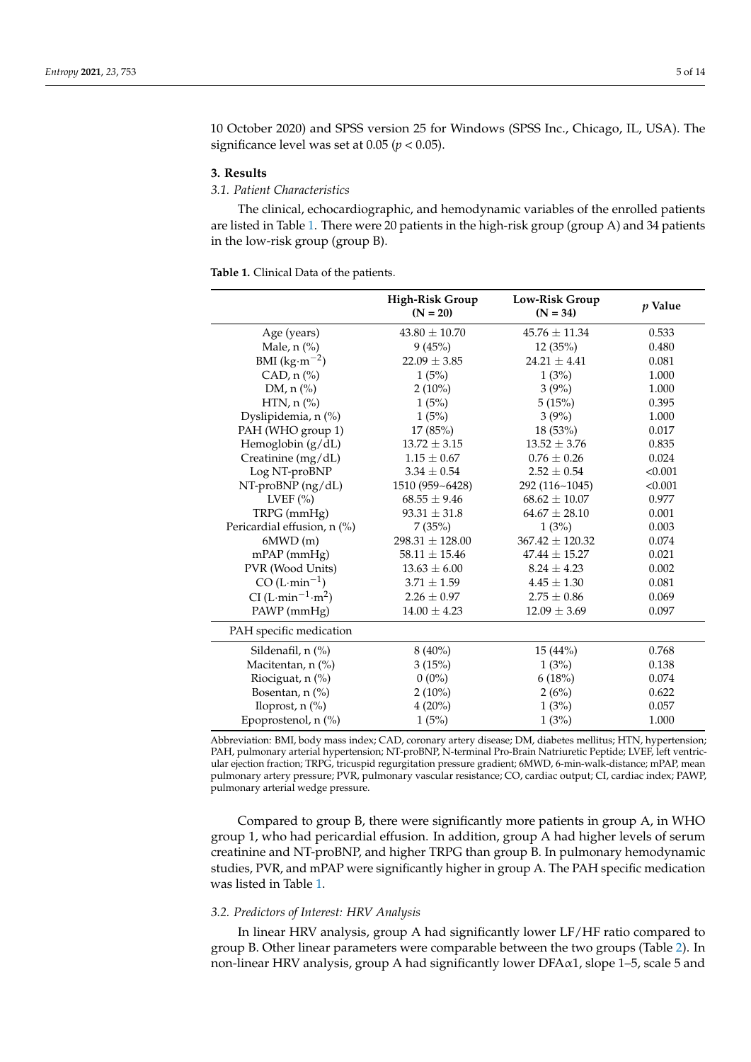10 October 2020) and SPSS version 25 for Windows (SPSS Inc., Chicago, IL, USA). The significance level was set at 0.05 (*p* < 0.05).

#### **3. Results**

# *3.1. Patient Characteristics*

The clinical, echocardiographic, and hemodynamic variables of the enrolled patients are listed in Table [1.](#page-4-0) There were 20 patients in the high-risk group (group A) and 34 patients in the low-risk group (group B).

<span id="page-4-0"></span>**Table 1.** Clinical Data of the patients.

|                                           | <b>High-Risk Group</b><br>$(N = 20)$ | Low-Risk Group<br>$(N = 34)$ | p Value |
|-------------------------------------------|--------------------------------------|------------------------------|---------|
| Age (years)                               | $43.80 \pm 10.70$                    | $45.76 \pm 11.34$            | 0.533   |
| Male, n (%)                               | 9(45%)                               | 12(35%)                      | 0.480   |
| BMI $(kg·m-2)$                            | $22.09 \pm 3.85$                     | $24.21 + 4.41$               | 0.081   |
| CAD, n (%)                                | 1(5%)                                | 1(3%)                        | 1.000   |
| DM, $n$ (%)                               | $2(10\%)$                            | 3(9%)                        | 1.000   |
| HTN, $n$ $\left(\frac{\%}{\)}$            | 1(5%)                                | 5(15%)                       | 0.395   |
| Dyslipidemia, n (%)                       | 1(5%)                                | 3(9%)                        | 1.000   |
| PAH (WHO group 1)                         | 17(85%)                              | 18 (53%)                     | 0.017   |
| Hemoglobin $(g/dL)$                       | $13.72 \pm 3.15$                     | $13.52 \pm 3.76$             | 0.835   |
| Creatinine (mg/dL)                        | $1.15 \pm 0.67$                      | $0.76 \pm 0.26$              | 0.024   |
| Log NT-proBNP                             | $3.34 \pm 0.54$                      | $2.52 \pm 0.54$              | < 0.001 |
| NT-proBNP (ng/dL)                         | 1510 (959~6428)                      | 292 (116~1045)               | < 0.001 |
| LVEF $(\% )$                              | $68.55 \pm 9.46$                     | $68.62 \pm 10.07$            | 0.977   |
| TRPG (mmHg)                               | $93.31 \pm 31.8$                     | $64.67 \pm 28.10$            | 0.001   |
| Pericardial effusion, n (%)               | 7(35%)                               | 1(3%)                        | 0.003   |
| 6MWD(m)                                   | $298.31 \pm 128.00$                  | $367.42 \pm 120.32$          | 0.074   |
| $mPAP$ ( $mmHg$ )                         | $58.11 \pm 15.46$                    | $47.44 \pm 15.27$            | 0.021   |
| PVR (Wood Units)                          | $13.63 \pm 6.00$                     | $8.24 \pm 4.23$              | 0.002   |
| $CO(L·min^{-1})$                          | $3.71 \pm 1.59$                      | $4.45 \pm 1.30$              | 0.081   |
| CI (L·min <sup>-1</sup> ·m <sup>2</sup> ) | $2.26 \pm 0.97$                      | $2.75 \pm 0.86$              | 0.069   |
| PAWP (mmHg)                               | $14.00 \pm 4.23$                     | $12.09 \pm 3.69$             | 0.097   |
| PAH specific medication                   |                                      |                              |         |
| Sildenafil, $n$ $\left(\% \right)$        | $8(40\%)$                            | $15(44\%)$                   | 0.768   |
| Macitentan, n (%)                         | 3(15%)                               | 1(3%)                        | 0.138   |
| Riociguat, n (%)                          | $0(0\%)$                             | 6(18%)                       | 0.074   |
| Bosentan, n (%)                           | $2(10\%)$                            | 2(6%)                        | 0.622   |
| Iloprost, $n$ $(\%)$                      | $4(20\%)$                            | 1(3%)                        | 0.057   |
| Epoprostenol, n (%)                       | 1(5%)                                | 1(3%)                        | 1.000   |

Abbreviation: BMI, body mass index; CAD, coronary artery disease; DM, diabetes mellitus; HTN, hypertension; PAH, pulmonary arterial hypertension; NT-proBNP, N-terminal Pro-Brain Natriuretic Peptide; LVEF, left ventricular ejection fraction; TRPG, tricuspid regurgitation pressure gradient; 6MWD, 6-min-walk-distance; mPAP, mean pulmonary artery pressure; PVR, pulmonary vascular resistance; CO, cardiac output; CI, cardiac index; PAWP, pulmonary arterial wedge pressure.

Compared to group B, there were significantly more patients in group A, in WHO group 1, who had pericardial effusion. In addition, group A had higher levels of serum creatinine and NT-proBNP, and higher TRPG than group B. In pulmonary hemodynamic studies, PVR, and mPAP were significantly higher in group A. The PAH specific medication was listed in Table [1.](#page-4-0)

#### *3.2. Predictors of Interest: HRV Analysis*

In linear HRV analysis, group A had significantly lower LF/HF ratio compared to group B. Other linear parameters were comparable between the two groups (Table [2\)](#page-5-0). In non-linear HRV analysis, group A had significantly lower  $DFA\alpha1$ , slope 1–5, scale 5 and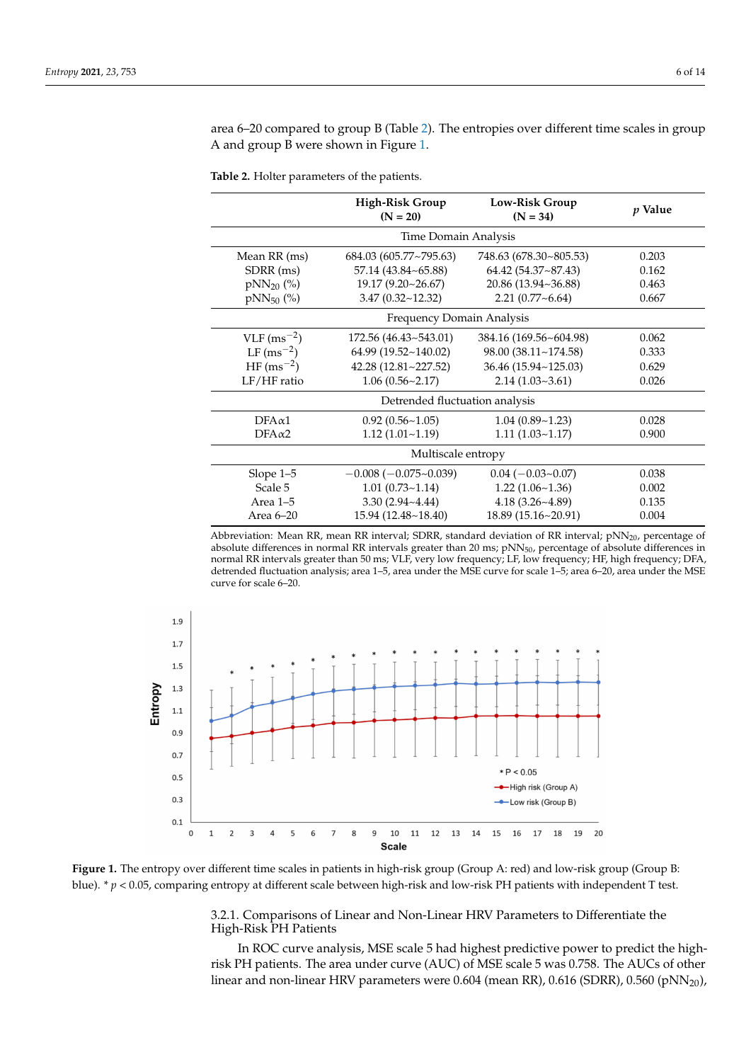area 6–20 compared to group B (Table [2\)](#page-5-0). The entropies over different time scales in group A and group B were shown in Figure [1.](#page-5-1)

<span id="page-5-0"></span>**Table 2.** Holter parameters of the patients.

|                           | <b>High-Risk Group</b><br>$(N = 20)$ | Low-Risk Group<br>$(N = 34)$ | p Value |  |  |  |  |  |
|---------------------------|--------------------------------------|------------------------------|---------|--|--|--|--|--|
|                           | Time Domain Analysis                 |                              |         |  |  |  |  |  |
| Mean RR (ms)              | 684.03 (605.77~795.63)               | 748.63 (678.30~805.53)       | 0.203   |  |  |  |  |  |
| SDRR (ms)                 | 57.14 (43.84~65.88)                  | 64.42 (54.37~87.43)          | 0.162   |  |  |  |  |  |
| $pNN_{20}$ (%)            | 19.17 (9.20~26.67)                   | 20.86 (13.94~36.88)          | 0.463   |  |  |  |  |  |
| $pNN_{50}$ (%)            | 3.47(0.32~12.32)                     | $2.21(0.77-6.64)$            | 0.667   |  |  |  |  |  |
|                           | Frequency Domain Analysis            |                              |         |  |  |  |  |  |
| $VLF$ (ms <sup>-2</sup> ) | 172.56 (46.43~543.01)                | 384.16 (169.56~604.98)       | 0.062   |  |  |  |  |  |
| $LF (ms^{-2})$            | 64.99 (19.52~140.02)                 | 98.00 (38.11~174.58)         | 0.333   |  |  |  |  |  |
| $HF(ms^{-2})$             | 42.28 (12.81~227.52)                 | 36.46 (15.94~125.03)         | 0.629   |  |  |  |  |  |
| LF/HF ratio               | 1.06(0.56~2.17)                      | 2.14(1.03~3.61)              | 0.026   |  |  |  |  |  |
|                           | Detrended fluctuation analysis       |                              |         |  |  |  |  |  |
| $DFA\alpha1$              | 0.92(0.56~1.05)                      | 1.04(0.89~1.23)              | 0.028   |  |  |  |  |  |
| $DFA \alpha 2$            | 1.12(1.01~1.19)                      | 1.11(1.03~1.17)              | 0.900   |  |  |  |  |  |
|                           | Multiscale entropy                   |                              |         |  |  |  |  |  |
| Slope 1-5                 | $-0.008(-0.075-0.039)$               | $0.04 (-0.03 - 0.07)$        | 0.038   |  |  |  |  |  |
| Scale 5                   | 1.01(0.73~1.14)                      | 1.22(1.06~1.36)              | 0.002   |  |  |  |  |  |
| Area 1-5                  | $3.30(2.94 - 4.44)$                  | $4.18(3.26-4.89)$            | 0.135   |  |  |  |  |  |
| Area 6-20                 | 15.94 (12.48~18.40)                  | 18.89 (15.16~20.91)          | 0.004   |  |  |  |  |  |

Abbreviation: Mean RR, mean RR interval; SDRR, standard deviation of RR interval; pNN<sub>20</sub>, percentage of absolute differences in normal RR intervals greater than 20 ms; pNN<sub>50</sub>, percentage of absolute differences in normal RR intervals greater than 50 ms; VLF, very low frequency; LF, low frequency; HF, high frequency; DFA, detrended fluctuation analysis; area 1–5, area under the MSE curve for scale 1–5; area 6–20, area under the MSE curve for scale 6–20.

<span id="page-5-1"></span>

**Figure 1.** The entropy over different time scales in patients in high-risk group (Group A: red) and low-risk group (Group B: blue). \* *p* < 0.05, comparing entropy at different scale between high-risk and low-risk PH patients with independent T test.

3.2.1. Comparisons of Linear and Non-Linear HRV Parameters to Differentiate the High-Risk PH Patients

In ROC curve analysis, MSE scale 5 had highest predictive power to predict the highrisk PH patients. The area under curve (AUC) of MSE scale 5 was 0.758. The AUCs of other linear and non-linear HRV parameters were 0.604 (mean RR), 0.616 (SDRR), 0.560 (pNN<sub>20</sub>),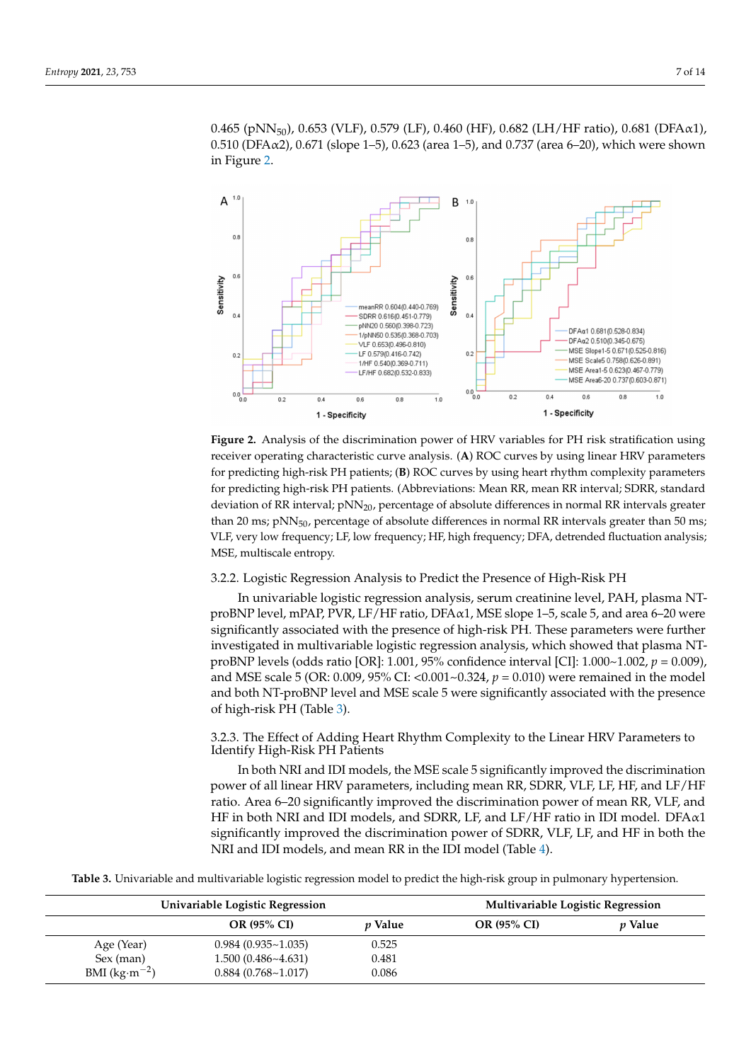0.465 (pNN<sub>50</sub>), 0.653 (VLF), 0.579 (LF), 0.460 (HF), 0.682 (LH/HF ratio), 0.681 (DFA $\alpha$ 1), 0.510 (DFA $\alpha$ 2), 0.671 (slope 1–5), 0.623 (area 1–5), and 0.737 (area 6–20), which were shown in Figure [2.](#page-6-0)

<span id="page-6-0"></span>

**Figure 2.** Analysis of the discrimination power of HRV variables for PH risk stratification using receiver operating characteristic curve analysis. (**A**) ROC curves by using linear HRV parameters for predicting high-risk PH patients; (**B**) ROC curves by using heart rhythm complexity parameters for predicting high-risk PH patients. (Abbreviations: Mean RR, mean RR interval; SDRR, standard deviation of RR interval;  $pNN_{20}$ , percentage of absolute differences in normal RR intervals greater than 20 ms; pNN<sub>50</sub>, percentage of absolute differences in normal RR intervals greater than 50 ms; VLF, very low frequency; LF, low frequency; HF, high frequency; DFA, detrended fluctuation analysis; MSE, multiscale entropy.

3.2.2. Logistic Regression Analysis to Predict the Presence of High-Risk PH

In univariable logistic regression analysis, serum creatinine level, PAH, plasma NTproBNP level, mPAP, PVR, LF/HF ratio, DFA $\alpha$ 1, MSE slope 1–5, scale 5, and area 6–20 were significantly associated with the presence of high-risk PH. These parameters were further investigated in multivariable logistic regression analysis, which showed that plasma NTproBNP levels (odds ratio [OR]: 1.001, 95% confidence interval [CI]: 1.000~1.002, *p* = 0.009), and MSE scale 5 (OR: 0.009, 95% CI: <0.001~0.324,  $p = 0.010$ ) were remained in the model and both NT-proBNP level and MSE scale 5 were significantly associated with the presence of high-risk PH (Table [3\)](#page-7-0).

3.2.3. The Effect of Adding Heart Rhythm Complexity to the Linear HRV Parameters to Identify High-Risk PH Patients

In both NRI and IDI models, the MSE scale 5 significantly improved the discrimination power of all linear HRV parameters, including mean RR, SDRR, VLF, LF, HF, and LF/HF ratio. Area 6–20 significantly improved the discrimination power of mean RR, VLF, and HF in both NRI and IDI models, and SDRR, LF, and LF/HF ratio in IDI model. DFA $\alpha$ 1 significantly improved the discrimination power of SDRR, VLF, LF, and HF in both the NRI and IDI models, and mean RR in the IDI model (Table [4\)](#page-8-0).

**Table 3.** Univariable and multivariable logistic regression model to predict the high-risk group in pulmonary hypertension.

| Univariable Logistic Regression |                           |                | <b>Multivariable Logistic Regression</b> |                |  |
|---------------------------------|---------------------------|----------------|------------------------------------------|----------------|--|
|                                 | <b>OR (95% CI)</b>        | <i>v</i> Value | OR (95% CI)                              | <i>v</i> Value |  |
| Age (Year)                      | $0.984(0.935 \sim 1.035)$ | 0.525          |                                          |                |  |
| Sex (man)                       | $1.500(0.486 \sim 4.631)$ | 0.481          |                                          |                |  |
| BMI $(kg·m-2)$                  | 0.884(0.768~1.017)        | 0.086          |                                          |                |  |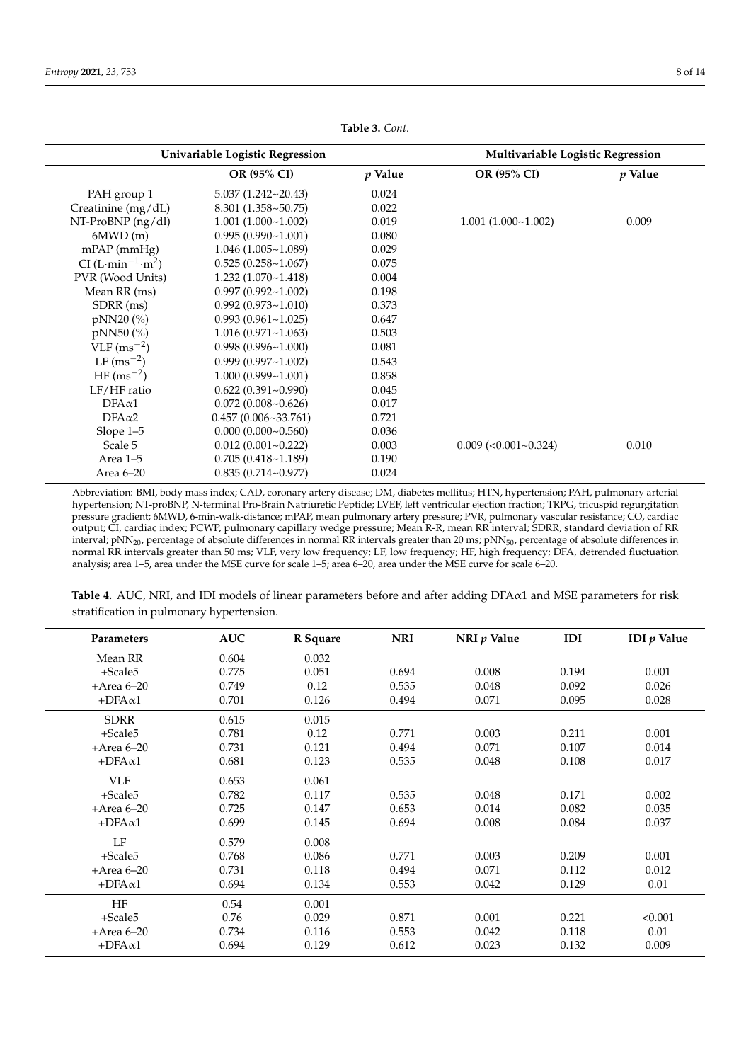<span id="page-7-0"></span>

| Univariable Logistic Regression           |                             |         | Multivariable Logistic Regression |                |  |
|-------------------------------------------|-----------------------------|---------|-----------------------------------|----------------|--|
|                                           | OR (95% CI)                 | p Value | OR (95% CI)                       | <i>p</i> Value |  |
| PAH group 1                               | $5.037(1.242 \times 20.43)$ | 0.024   |                                   |                |  |
| Creatinine (mg/dL)                        | $8.301(1.358 \times 50.75)$ | 0.022   |                                   |                |  |
| $NT-ProBNP$ (ng/dl)                       | 1.001(1.000~1.002)          | 0.019   | 1.001(1.000~1.002)                | 0.009          |  |
| 6MWD(m)                                   | 0.995(0.990~1.001)          | 0.080   |                                   |                |  |
| $mPAP$ (mmHg)                             | 1.046(1.005~1.089)          | 0.029   |                                   |                |  |
| CI (L·min <sup>-1</sup> ·m <sup>2</sup> ) | 0.525(0.258~1.067)          | 0.075   |                                   |                |  |
| PVR (Wood Units)                          | 1.232(1.070~1.418)          | 0.004   |                                   |                |  |
| Mean RR (ms)                              | $0.997(0.992 \sim 1.002)$   | 0.198   |                                   |                |  |
| SDRR (ms)                                 | $0.992(0.973 \sim 1.010)$   | 0.373   |                                   |                |  |
| pNN20 (%)                                 | 0.993(0.961~1.025)          | 0.647   |                                   |                |  |
| pNN50 (%)                                 | 1.016(0.971~1.063)          | 0.503   |                                   |                |  |
| $VLF$ (ms <sup>-2</sup> )                 | 0.998(0.996~1.000)          | 0.081   |                                   |                |  |
| $LF (ms^{-2})$                            | $0.999(0.997 - 1.002)$      | 0.543   |                                   |                |  |
| $HF(ms^{-2})$                             | $1.000(0.999 - 1.001)$      | 0.858   |                                   |                |  |
| LF/HF ratio                               | $0.622(0.391\text{-}0.990)$ | 0.045   |                                   |                |  |
| $DFA\alpha1$                              | 0.072(0.008~0.626)          | 0.017   |                                   |                |  |
| $DFA\alpha2$                              | 0.457(0.006~33.761)         | 0.721   |                                   |                |  |
| Slope 1-5                                 | $0.000(0.000 - 0.560)$      | 0.036   |                                   |                |  |
| Scale 5                                   | $0.012(0.001 - 0.222)$      | 0.003   | $0.009$ (< $0.001$ ~ $0.324$ )    | 0.010          |  |
| Area 1-5                                  | 0.705(0.418~1.189)          | 0.190   |                                   |                |  |
| Area 6-20                                 | $0.835(0.714 - 0.977)$      | 0.024   |                                   |                |  |

**Table 3.** *Cont.*

Abbreviation: BMI, body mass index; CAD, coronary artery disease; DM, diabetes mellitus; HTN, hypertension; PAH, pulmonary arterial hypertension; NT-proBNP, N-terminal Pro-Brain Natriuretic Peptide; LVEF, left ventricular ejection fraction; TRPG, tricuspid regurgitation pressure gradient; 6MWD, 6-min-walk-distance; mPAP, mean pulmonary artery pressure; PVR, pulmonary vascular resistance; CO, cardiac output; CI, cardiac index; PCWP, pulmonary capillary wedge pressure; Mean R-R, mean RR interval; SDRR, standard deviation of RR interval; pNN<sub>20</sub>, percentage of absolute differences in normal RR intervals greater than 20 ms; pNN<sub>50</sub>, percentage of absolute differences in normal RR intervals greater than 50 ms; VLF, very low frequency; LF, low frequency; HF, high frequency; DFA, detrended fluctuation analysis; area 1–5, area under the MSE curve for scale 1–5; area 6–20, area under the MSE curve for scale 6–20.

**Table 4.** AUC, NRI, and IDI models of linear parameters before and after adding DFAα1 and MSE parameters for risk stratification in pulmonary hypertension.

| Parameters    | <b>AUC</b> | R Square | <b>NRI</b> | NRI $p$ Value | <b>IDI</b> | IDI $p$ Value |
|---------------|------------|----------|------------|---------------|------------|---------------|
|               |            |          |            |               |            |               |
| Mean RR       | 0.604      | 0.032    |            |               |            |               |
| $+Scale5$     | 0.775      | 0.051    | 0.694      | 0.008         | 0.194      | 0.001         |
| $+Area 6-20$  | 0.749      | 0.12     | 0.535      | 0.048         | 0.092      | 0.026         |
| $+DFA\alpha1$ | 0.701      | 0.126    | 0.494      | 0.071         | 0.095      | 0.028         |
| <b>SDRR</b>   | 0.615      | 0.015    |            |               |            |               |
| +Scale5       | 0.781      | 0.12     | 0.771      | 0.003         | 0.211      | 0.001         |
| $+Area 6-20$  | 0.731      | 0.121    | 0.494      | 0.071         | 0.107      | 0.014         |
| $+DFA\alpha1$ | 0.681      | 0.123    | 0.535      | 0.048         | 0.108      | 0.017         |
| <b>VLF</b>    | 0.653      | 0.061    |            |               |            |               |
| $+Scale5$     | 0.782      | 0.117    | 0.535      | 0.048         | 0.171      | 0.002         |
| $+Area 6-20$  | 0.725      | 0.147    | 0.653      | 0.014         | 0.082      | 0.035         |
| $+DFA\alpha1$ | 0.699      | 0.145    | 0.694      | 0.008         | 0.084      | 0.037         |
| LF            | 0.579      | 0.008    |            |               |            |               |
| $+Scale5$     | 0.768      | 0.086    | 0.771      | 0.003         | 0.209      | 0.001         |
| $+Area 6-20$  | 0.731      | 0.118    | 0.494      | 0.071         | 0.112      | 0.012         |
| $+DFA\alpha1$ | 0.694      | 0.134    | 0.553      | 0.042         | 0.129      | 0.01          |
| <b>HF</b>     | 0.54       | 0.001    |            |               |            |               |
| $+Scale5$     | 0.76       | 0.029    | 0.871      | 0.001         | 0.221      | < 0.001       |
| $+Area 6-20$  | 0.734      | 0.116    | 0.553      | 0.042         | 0.118      | 0.01          |
| $+DFA\alpha1$ | 0.694      | 0.129    | 0.612      | 0.023         | 0.132      | 0.009         |
|               |            |          |            |               |            |               |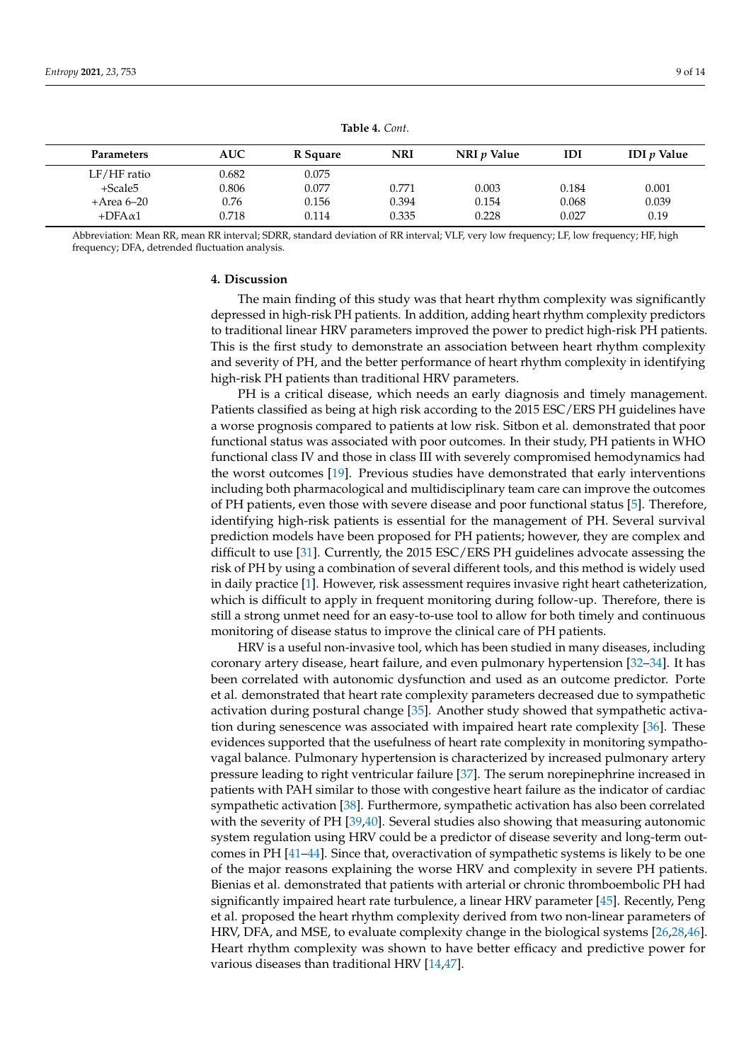<span id="page-8-0"></span>

| Parameters      | <b>AUC</b> | R Square | <b>NRI</b> | NRI <i>v</i> Value | IDI   | <b>IDI</b> <i>v</i> Value |
|-----------------|------------|----------|------------|--------------------|-------|---------------------------|
| $LF/HF$ ratio   | 0.682      | 0.075    |            |                    |       |                           |
| $+Scale5$       | 0.806      | 0.077    | 0.771      | 0.003              | 0.184 | 0.001                     |
| +Area 6–20      | 0.76       | 0.156    | 0.394      | 0.154              | 0.068 | 0.039                     |
| $+DFA \alpha 1$ | 0.718      | 0.114    | 0.335      | 0.228              | 0.027 | 0.19                      |
|                 |            |          |            |                    |       |                           |

**Table 4.** *Cont.*

Abbreviation: Mean RR, mean RR interval; SDRR, standard deviation of RR interval; VLF, very low frequency; LF, low frequency; HF, high frequency; DFA, detrended fluctuation analysis.

#### **4. Discussion**

The main finding of this study was that heart rhythm complexity was significantly depressed in high-risk PH patients. In addition, adding heart rhythm complexity predictors to traditional linear HRV parameters improved the power to predict high-risk PH patients. This is the first study to demonstrate an association between heart rhythm complexity and severity of PH, and the better performance of heart rhythm complexity in identifying high-risk PH patients than traditional HRV parameters.

PH is a critical disease, which needs an early diagnosis and timely management. Patients classified as being at high risk according to the 2015 ESC/ERS PH guidelines have a worse prognosis compared to patients at low risk. Sitbon et al. demonstrated that poor functional status was associated with poor outcomes. In their study, PH patients in WHO functional class IV and those in class III with severely compromised hemodynamics had the worst outcomes [\[19\]](#page-11-10). Previous studies have demonstrated that early interventions including both pharmacological and multidisciplinary team care can improve the outcomes of PH patients, even those with severe disease and poor functional status [\[5\]](#page-10-3). Therefore, identifying high-risk patients is essential for the management of PH. Several survival prediction models have been proposed for PH patients; however, they are complex and difficult to use [\[31\]](#page-11-22). Currently, the 2015 ESC/ERS PH guidelines advocate assessing the risk of PH by using a combination of several different tools, and this method is widely used in daily practice [\[1\]](#page-10-0). However, risk assessment requires invasive right heart catheterization, which is difficult to apply in frequent monitoring during follow-up. Therefore, there is still a strong unmet need for an easy-to-use tool to allow for both timely and continuous monitoring of disease status to improve the clinical care of PH patients.

HRV is a useful non-invasive tool, which has been studied in many diseases, including coronary artery disease, heart failure, and even pulmonary hypertension [\[32](#page-11-23)[–34\]](#page-12-0). It has been correlated with autonomic dysfunction and used as an outcome predictor. Porte et al. demonstrated that heart rate complexity parameters decreased due to sympathetic activation during postural change [\[35\]](#page-12-1). Another study showed that sympathetic activation during senescence was associated with impaired heart rate complexity [\[36\]](#page-12-2). These evidences supported that the usefulness of heart rate complexity in monitoring sympathovagal balance. Pulmonary hypertension is characterized by increased pulmonary artery pressure leading to right ventricular failure [\[37\]](#page-12-3). The serum norepinephrine increased in patients with PAH similar to those with congestive heart failure as the indicator of cardiac sympathetic activation [\[38\]](#page-12-4). Furthermore, sympathetic activation has also been correlated with the severity of PH [\[39,](#page-12-5)[40\]](#page-12-6). Several studies also showing that measuring autonomic system regulation using HRV could be a predictor of disease severity and long-term outcomes in PH [\[41–](#page-12-7)[44\]](#page-12-8). Since that, overactivation of sympathetic systems is likely to be one of the major reasons explaining the worse HRV and complexity in severe PH patients. Bienias et al. demonstrated that patients with arterial or chronic thromboembolic PH had significantly impaired heart rate turbulence, a linear HRV parameter [\[45\]](#page-12-9). Recently, Peng et al. proposed the heart rhythm complexity derived from two non-linear parameters of HRV, DFA, and MSE, to evaluate complexity change in the biological systems [\[26,](#page-11-17)[28,](#page-11-19)[46\]](#page-12-10). Heart rhythm complexity was shown to have better efficacy and predictive power for various diseases than traditional HRV [\[14](#page-11-5)[,47\]](#page-12-11).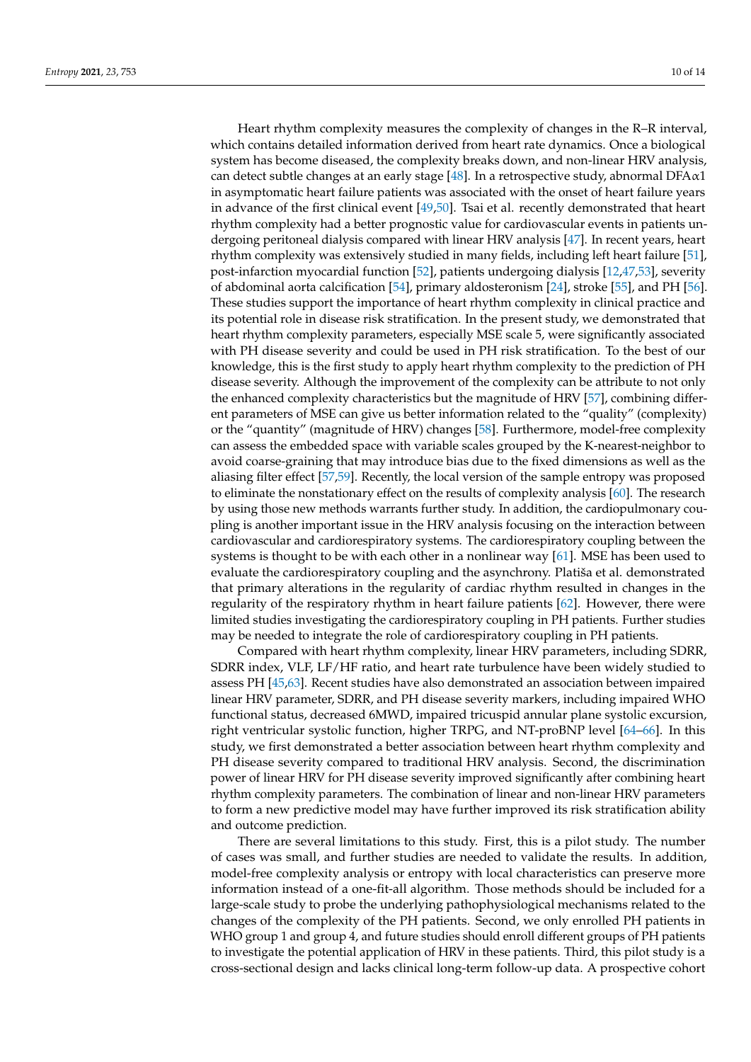Heart rhythm complexity measures the complexity of changes in the R–R interval, which contains detailed information derived from heart rate dynamics. Once a biological system has become diseased, the complexity breaks down, and non-linear HRV analysis, can detect subtle changes at an early stage [\[48\]](#page-12-12). In a retrospective study, abnormal  $DFA\alpha1$ in asymptomatic heart failure patients was associated with the onset of heart failure years in advance of the first clinical event [\[49,](#page-12-13)[50\]](#page-12-14). Tsai et al. recently demonstrated that heart rhythm complexity had a better prognostic value for cardiovascular events in patients undergoing peritoneal dialysis compared with linear HRV analysis [\[47\]](#page-12-11). In recent years, heart rhythm complexity was extensively studied in many fields, including left heart failure [\[51\]](#page-12-15), post-infarction myocardial function [\[52\]](#page-12-16), patients undergoing dialysis [\[12,](#page-11-24)[47,](#page-12-11)[53\]](#page-12-17), severity of abdominal aorta calcification [\[54\]](#page-12-18), primary aldosteronism [\[24\]](#page-11-15), stroke [\[55\]](#page-12-19), and PH [\[56\]](#page-12-20). These studies support the importance of heart rhythm complexity in clinical practice and its potential role in disease risk stratification. In the present study, we demonstrated that heart rhythm complexity parameters, especially MSE scale 5, were significantly associated with PH disease severity and could be used in PH risk stratification. To the best of our knowledge, this is the first study to apply heart rhythm complexity to the prediction of PH disease severity. Although the improvement of the complexity can be attribute to not only the enhanced complexity characteristics but the magnitude of HRV [\[57\]](#page-12-21), combining different parameters of MSE can give us better information related to the "quality" (complexity) or the "quantity" (magnitude of HRV) changes [\[58\]](#page-12-22). Furthermore, model-free complexity can assess the embedded space with variable scales grouped by the K-nearest-neighbor to avoid coarse-graining that may introduce bias due to the fixed dimensions as well as the aliasing filter effect [\[57](#page-12-21)[,59\]](#page-13-0). Recently, the local version of the sample entropy was proposed to eliminate the nonstationary effect on the results of complexity analysis [\[60\]](#page-13-1). The research by using those new methods warrants further study. In addition, the cardiopulmonary coupling is another important issue in the HRV analysis focusing on the interaction between cardiovascular and cardiorespiratory systems. The cardiorespiratory coupling between the systems is thought to be with each other in a nonlinear way [\[61\]](#page-13-2). MSE has been used to evaluate the cardiorespiratory coupling and the asynchrony. Platiša et al. demonstrated that primary alterations in the regularity of cardiac rhythm resulted in changes in the regularity of the respiratory rhythm in heart failure patients [\[62\]](#page-13-3). However, there were limited studies investigating the cardiorespiratory coupling in PH patients. Further studies may be needed to integrate the role of cardiorespiratory coupling in PH patients.

Compared with heart rhythm complexity, linear HRV parameters, including SDRR, SDRR index, VLF, LF/HF ratio, and heart rate turbulence have been widely studied to assess PH [\[45,](#page-12-9)[63\]](#page-13-4). Recent studies have also demonstrated an association between impaired linear HRV parameter, SDRR, and PH disease severity markers, including impaired WHO functional status, decreased 6MWD, impaired tricuspid annular plane systolic excursion, right ventricular systolic function, higher TRPG, and NT-proBNP level [\[64–](#page-13-5)[66\]](#page-13-6). In this study, we first demonstrated a better association between heart rhythm complexity and PH disease severity compared to traditional HRV analysis. Second, the discrimination power of linear HRV for PH disease severity improved significantly after combining heart rhythm complexity parameters. The combination of linear and non-linear HRV parameters to form a new predictive model may have further improved its risk stratification ability and outcome prediction.

There are several limitations to this study. First, this is a pilot study. The number of cases was small, and further studies are needed to validate the results. In addition, model-free complexity analysis or entropy with local characteristics can preserve more information instead of a one-fit-all algorithm. Those methods should be included for a large-scale study to probe the underlying pathophysiological mechanisms related to the changes of the complexity of the PH patients. Second, we only enrolled PH patients in WHO group 1 and group 4, and future studies should enroll different groups of PH patients to investigate the potential application of HRV in these patients. Third, this pilot study is a cross-sectional design and lacks clinical long-term follow-up data. A prospective cohort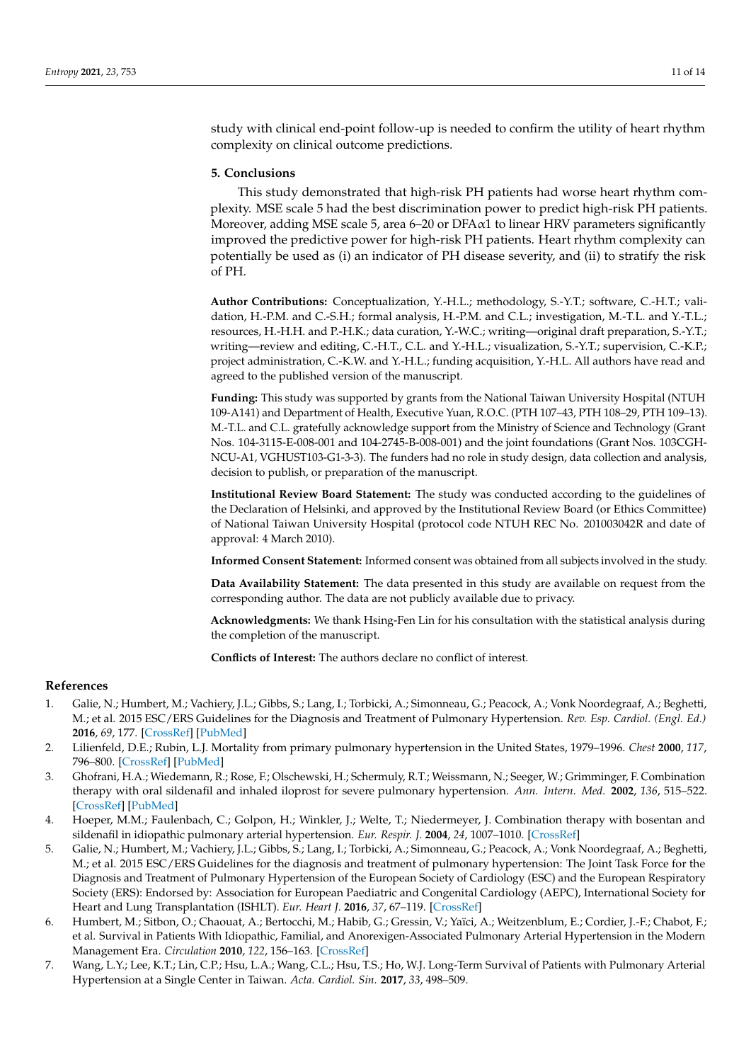study with clinical end-point follow-up is needed to confirm the utility of heart rhythm complexity on clinical outcome predictions.

# **5. Conclusions**

This study demonstrated that high-risk PH patients had worse heart rhythm complexity. MSE scale 5 had the best discrimination power to predict high-risk PH patients. Moreover, adding MSE scale 5, area 6–20 or DFA $\alpha$ 1 to linear HRV parameters significantly improved the predictive power for high-risk PH patients. Heart rhythm complexity can potentially be used as (i) an indicator of PH disease severity, and (ii) to stratify the risk of PH.

**Author Contributions:** Conceptualization, Y.-H.L.; methodology, S.-Y.T.; software, C.-H.T.; validation, H.-P.M. and C.-S.H.; formal analysis, H.-P.M. and C.L.; investigation, M.-T.L. and Y.-T.L.; resources, H.-H.H. and P.-H.K.; data curation, Y.-W.C.; writing—original draft preparation, S.-Y.T.; writing—review and editing, C.-H.T., C.L. and Y.-H.L.; visualization, S.-Y.T.; supervision, C.-K.P.; project administration, C.-K.W. and Y.-H.L.; funding acquisition, Y.-H.L. All authors have read and agreed to the published version of the manuscript.

**Funding:** This study was supported by grants from the National Taiwan University Hospital (NTUH 109-A141) and Department of Health, Executive Yuan, R.O.C. (PTH 107–43, PTH 108–29, PTH 109–13). M.-T.L. and C.L. gratefully acknowledge support from the Ministry of Science and Technology (Grant Nos. 104-3115-E-008-001 and 104-2745-B-008-001) and the joint foundations (Grant Nos. 103CGH-NCU-A1, VGHUST103-G1-3-3). The funders had no role in study design, data collection and analysis, decision to publish, or preparation of the manuscript.

**Institutional Review Board Statement:** The study was conducted according to the guidelines of the Declaration of Helsinki, and approved by the Institutional Review Board (or Ethics Committee) of National Taiwan University Hospital (protocol code NTUH REC No. 201003042R and date of approval: 4 March 2010).

**Informed Consent Statement:** Informed consent was obtained from all subjects involved in the study.

**Data Availability Statement:** The data presented in this study are available on request from the corresponding author. The data are not publicly available due to privacy.

**Acknowledgments:** We thank Hsing-Fen Lin for his consultation with the statistical analysis during the completion of the manuscript.

**Conflicts of Interest:** The authors declare no conflict of interest.

#### **References**

- <span id="page-10-0"></span>1. Galie, N.; Humbert, M.; Vachiery, J.L.; Gibbs, S.; Lang, I.; Torbicki, A.; Simonneau, G.; Peacock, A.; Vonk Noordegraaf, A.; Beghetti, M.; et al. 2015 ESC/ERS Guidelines for the Diagnosis and Treatment of Pulmonary Hypertension. *Rev. Esp. Cardiol. (Engl. Ed.)* **2016**, *69*, 177. [\[CrossRef\]](http://doi.org/10.1016/j.rec.2016.01.002) [\[PubMed\]](http://www.ncbi.nlm.nih.gov/pubmed/26837729)
- <span id="page-10-1"></span>2. Lilienfeld, D.E.; Rubin, L.J. Mortality from primary pulmonary hypertension in the United States, 1979–1996. *Chest* **2000**, *117*, 796–800. [\[CrossRef\]](http://doi.org/10.1378/chest.117.3.796) [\[PubMed\]](http://www.ncbi.nlm.nih.gov/pubmed/10713009)
- <span id="page-10-2"></span>3. Ghofrani, H.A.; Wiedemann, R.; Rose, F.; Olschewski, H.; Schermuly, R.T.; Weissmann, N.; Seeger, W.; Grimminger, F. Combination therapy with oral sildenafil and inhaled iloprost for severe pulmonary hypertension. *Ann. Intern. Med.* **2002**, *136*, 515–522. [\[CrossRef\]](http://doi.org/10.7326/0003-4819-136-7-200204020-00008) [\[PubMed\]](http://www.ncbi.nlm.nih.gov/pubmed/11926786)
- 4. Hoeper, M.M.; Faulenbach, C.; Golpon, H.; Winkler, J.; Welte, T.; Niedermeyer, J. Combination therapy with bosentan and sildenafil in idiopathic pulmonary arterial hypertension. *Eur. Respir. J.* **2004**, *24*, 1007–1010. [\[CrossRef\]](http://doi.org/10.1183/09031936.04.00051104)
- <span id="page-10-3"></span>5. Galie, N.; Humbert, M.; Vachiery, J.L.; Gibbs, S.; Lang, I.; Torbicki, A.; Simonneau, G.; Peacock, A.; Vonk Noordegraaf, A.; Beghetti, M.; et al. 2015 ESC/ERS Guidelines for the diagnosis and treatment of pulmonary hypertension: The Joint Task Force for the Diagnosis and Treatment of Pulmonary Hypertension of the European Society of Cardiology (ESC) and the European Respiratory Society (ERS): Endorsed by: Association for European Paediatric and Congenital Cardiology (AEPC), International Society for Heart and Lung Transplantation (ISHLT). *Eur. Heart J.* **2016**, *37*, 67–119. [\[CrossRef\]](http://doi.org/10.1093/eurheartj/ehv317)
- <span id="page-10-4"></span>6. Humbert, M.; Sitbon, O.; Chaouat, A.; Bertocchi, M.; Habib, G.; Gressin, V.; Yaïci, A.; Weitzenblum, E.; Cordier, J.-F.; Chabot, F.; et al. Survival in Patients With Idiopathic, Familial, and Anorexigen-Associated Pulmonary Arterial Hypertension in the Modern Management Era. *Circulation* **2010**, *122*, 156–163. [\[CrossRef\]](http://doi.org/10.1161/CIRCULATIONAHA.109.911818)
- 7. Wang, L.Y.; Lee, K.T.; Lin, C.P.; Hsu, L.A.; Wang, C.L.; Hsu, T.S.; Ho, W.J. Long-Term Survival of Patients with Pulmonary Arterial Hypertension at a Single Center in Taiwan. *Acta. Cardiol. Sin.* **2017**, *33*, 498–509.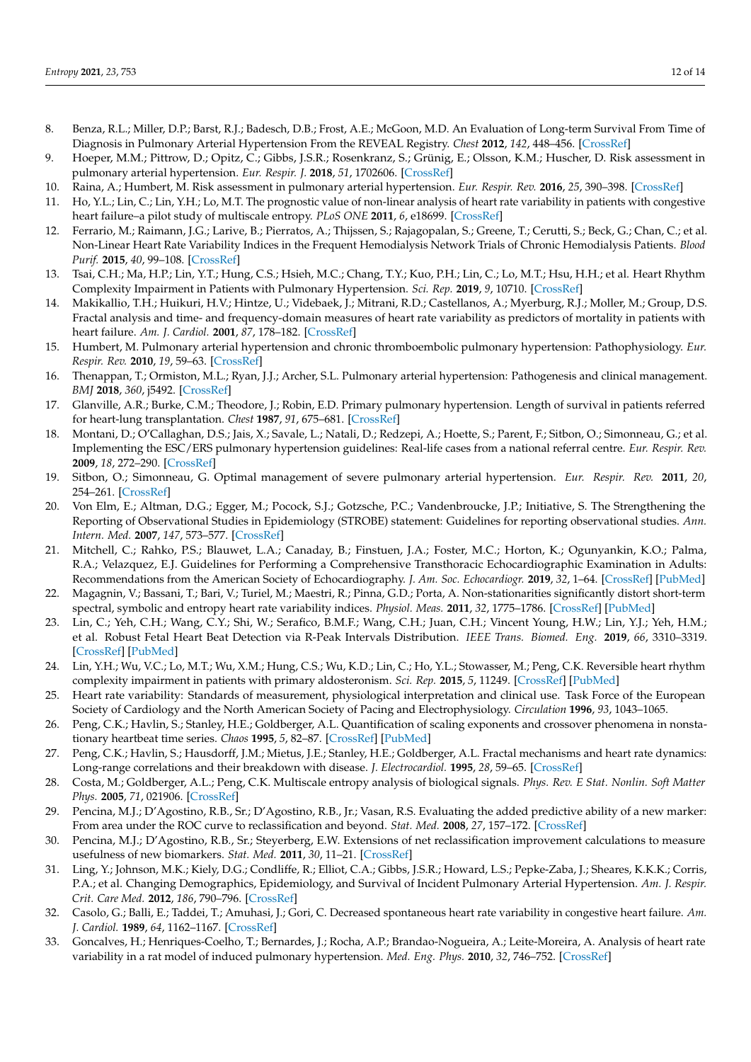- <span id="page-11-0"></span>8. Benza, R.L.; Miller, D.P.; Barst, R.J.; Badesch, D.B.; Frost, A.E.; McGoon, M.D. An Evaluation of Long-term Survival From Time of Diagnosis in Pulmonary Arterial Hypertension From the REVEAL Registry. *Chest* **2012**, *142*, 448–456. [\[CrossRef\]](http://doi.org/10.1378/chest.11-1460)
- <span id="page-11-1"></span>9. Hoeper, M.M.; Pittrow, D.; Opitz, C.; Gibbs, J.S.R.; Rosenkranz, S.; Grünig, E.; Olsson, K.M.; Huscher, D. Risk assessment in pulmonary arterial hypertension. *Eur. Respir. J.* **2018**, *51*, 1702606. [\[CrossRef\]](http://doi.org/10.1183/13993003.02606-2017)
- <span id="page-11-2"></span>10. Raina, A.; Humbert, M. Risk assessment in pulmonary arterial hypertension. *Eur. Respir. Rev.* **2016**, *25*, 390–398. [\[CrossRef\]](http://doi.org/10.1183/16000617.0077-2016)
- <span id="page-11-3"></span>11. Ho, Y.L.; Lin, C.; Lin, Y.H.; Lo, M.T. The prognostic value of non-linear analysis of heart rate variability in patients with congestive heart failure–a pilot study of multiscale entropy. *PLoS ONE* **2011**, *6*, e18699. [\[CrossRef\]](http://doi.org/10.1371/journal.pone.0018699)
- <span id="page-11-24"></span>12. Ferrario, M.; Raimann, J.G.; Larive, B.; Pierratos, A.; Thijssen, S.; Rajagopalan, S.; Greene, T.; Cerutti, S.; Beck, G.; Chan, C.; et al. Non-Linear Heart Rate Variability Indices in the Frequent Hemodialysis Network Trials of Chronic Hemodialysis Patients. *Blood Purif.* **2015**, *40*, 99–108. [\[CrossRef\]](http://doi.org/10.1159/000381665)
- <span id="page-11-4"></span>13. Tsai, C.H.; Ma, H.P.; Lin, Y.T.; Hung, C.S.; Hsieh, M.C.; Chang, T.Y.; Kuo, P.H.; Lin, C.; Lo, M.T.; Hsu, H.H.; et al. Heart Rhythm Complexity Impairment in Patients with Pulmonary Hypertension. *Sci. Rep.* **2019**, *9*, 10710. [\[CrossRef\]](http://doi.org/10.1038/s41598-019-47144-1)
- <span id="page-11-5"></span>14. Makikallio, T.H.; Huikuri, H.V.; Hintze, U.; Videbaek, J.; Mitrani, R.D.; Castellanos, A.; Myerburg, R.J.; Moller, M.; Group, D.S. Fractal analysis and time- and frequency-domain measures of heart rate variability as predictors of mortality in patients with heart failure. *Am. J. Cardiol.* **2001**, *87*, 178–182. [\[CrossRef\]](http://doi.org/10.1016/S0002-9149(00)01312-6)
- <span id="page-11-6"></span>15. Humbert, M. Pulmonary arterial hypertension and chronic thromboembolic pulmonary hypertension: Pathophysiology. *Eur. Respir. Rev.* **2010**, *19*, 59–63. [\[CrossRef\]](http://doi.org/10.1183/09059180.00007309)
- <span id="page-11-7"></span>16. Thenappan, T.; Ormiston, M.L.; Ryan, J.J.; Archer, S.L. Pulmonary arterial hypertension: Pathogenesis and clinical management. *BMJ* **2018**, *360*, j5492. [\[CrossRef\]](http://doi.org/10.1136/bmj.j5492)
- <span id="page-11-8"></span>17. Glanville, A.R.; Burke, C.M.; Theodore, J.; Robin, E.D. Primary pulmonary hypertension. Length of survival in patients referred for heart-lung transplantation. *Chest* **1987**, *91*, 675–681. [\[CrossRef\]](http://doi.org/10.1378/chest.91.5.675)
- <span id="page-11-9"></span>18. Montani, D.; O'Callaghan, D.S.; Jais, X.; Savale, L.; Natali, D.; Redzepi, A.; Hoette, S.; Parent, F.; Sitbon, O.; Simonneau, G.; et al. Implementing the ESC/ERS pulmonary hypertension guidelines: Real-life cases from a national referral centre. *Eur. Respir. Rev.* **2009**, *18*, 272–290. [\[CrossRef\]](http://doi.org/10.1183/09059180.00005909)
- <span id="page-11-10"></span>19. Sitbon, O.; Simonneau, G. Optimal management of severe pulmonary arterial hypertension. *Eur. Respir. Rev.* **2011**, *20*, 254–261. [\[CrossRef\]](http://doi.org/10.1183/09059180.00007011)
- <span id="page-11-11"></span>20. Von Elm, E.; Altman, D.G.; Egger, M.; Pocock, S.J.; Gotzsche, P.C.; Vandenbroucke, J.P.; Initiative, S. The Strengthening the Reporting of Observational Studies in Epidemiology (STROBE) statement: Guidelines for reporting observational studies. *Ann. Intern. Med.* **2007**, *147*, 573–577. [\[CrossRef\]](http://doi.org/10.7326/0003-4819-147-8-200710160-00010)
- <span id="page-11-12"></span>21. Mitchell, C.; Rahko, P.S.; Blauwet, L.A.; Canaday, B.; Finstuen, J.A.; Foster, M.C.; Horton, K.; Ogunyankin, K.O.; Palma, R.A.; Velazquez, E.J. Guidelines for Performing a Comprehensive Transthoracic Echocardiographic Examination in Adults: Recommendations from the American Society of Echocardiography. *J. Am. Soc. Echocardiogr.* **2019**, *32*, 1–64. [\[CrossRef\]](http://doi.org/10.1016/j.echo.2018.06.004) [\[PubMed\]](http://www.ncbi.nlm.nih.gov/pubmed/30282592)
- <span id="page-11-13"></span>22. Magagnin, V.; Bassani, T.; Bari, V.; Turiel, M.; Maestri, R.; Pinna, G.D.; Porta, A. Non-stationarities significantly distort short-term spectral, symbolic and entropy heart rate variability indices. *Physiol. Meas.* **2011**, *32*, 1775–1786. [\[CrossRef\]](http://doi.org/10.1088/0967-3334/32/11/S05) [\[PubMed\]](http://www.ncbi.nlm.nih.gov/pubmed/22027399)
- <span id="page-11-14"></span>23. Lin, C.; Yeh, C.H.; Wang, C.Y.; Shi, W.; Serafico, B.M.F.; Wang, C.H.; Juan, C.H.; Vincent Young, H.W.; Lin, Y.J.; Yeh, H.M.; et al. Robust Fetal Heart Beat Detection via R-Peak Intervals Distribution. *IEEE Trans. Biomed. Eng.* **2019**, *66*, 3310–3319. [\[CrossRef\]](http://doi.org/10.1109/TBME.2019.2904014) [\[PubMed\]](http://www.ncbi.nlm.nih.gov/pubmed/30869605)
- <span id="page-11-15"></span>24. Lin, Y.H.; Wu, V.C.; Lo, M.T.; Wu, X.M.; Hung, C.S.; Wu, K.D.; Lin, C.; Ho, Y.L.; Stowasser, M.; Peng, C.K. Reversible heart rhythm complexity impairment in patients with primary aldosteronism. *Sci. Rep.* **2015**, *5*, 11249. [\[CrossRef\]](http://doi.org/10.1038/srep11249) [\[PubMed\]](http://www.ncbi.nlm.nih.gov/pubmed/26282603)
- <span id="page-11-16"></span>25. Heart rate variability: Standards of measurement, physiological interpretation and clinical use. Task Force of the European Society of Cardiology and the North American Society of Pacing and Electrophysiology. *Circulation* **1996**, *93*, 1043–1065.
- <span id="page-11-17"></span>26. Peng, C.K.; Havlin, S.; Stanley, H.E.; Goldberger, A.L. Quantification of scaling exponents and crossover phenomena in nonstationary heartbeat time series. *Chaos* **1995**, *5*, 82–87. [\[CrossRef\]](http://doi.org/10.1063/1.166141) [\[PubMed\]](http://www.ncbi.nlm.nih.gov/pubmed/11538314)
- <span id="page-11-18"></span>27. Peng, C.K.; Havlin, S.; Hausdorff, J.M.; Mietus, J.E.; Stanley, H.E.; Goldberger, A.L. Fractal mechanisms and heart rate dynamics: Long-range correlations and their breakdown with disease. *J. Electrocardiol.* **1995**, *28*, 59–65. [\[CrossRef\]](http://doi.org/10.1016/S0022-0736(95)80017-4)
- <span id="page-11-19"></span>28. Costa, M.; Goldberger, A.L.; Peng, C.K. Multiscale entropy analysis of biological signals. *Phys. Rev. E Stat. Nonlin. Soft Matter Phys.* **2005**, *71*, 021906. [\[CrossRef\]](http://doi.org/10.1103/PhysRevE.71.021906)
- <span id="page-11-20"></span>29. Pencina, M.J.; D'Agostino, R.B., Sr.; D'Agostino, R.B., Jr.; Vasan, R.S. Evaluating the added predictive ability of a new marker: From area under the ROC curve to reclassification and beyond. *Stat. Med.* **2008**, *27*, 157–172. [\[CrossRef\]](http://doi.org/10.1002/sim.2929)
- <span id="page-11-21"></span>30. Pencina, M.J.; D'Agostino, R.B., Sr.; Steyerberg, E.W. Extensions of net reclassification improvement calculations to measure usefulness of new biomarkers. *Stat. Med.* **2011**, *30*, 11–21. [\[CrossRef\]](http://doi.org/10.1002/sim.4085)
- <span id="page-11-22"></span>31. Ling, Y.; Johnson, M.K.; Kiely, D.G.; Condliffe, R.; Elliot, C.A.; Gibbs, J.S.R.; Howard, L.S.; Pepke-Zaba, J.; Sheares, K.K.K.; Corris, P.A.; et al. Changing Demographics, Epidemiology, and Survival of Incident Pulmonary Arterial Hypertension. *Am. J. Respir. Crit. Care Med.* **2012**, *186*, 790–796. [\[CrossRef\]](http://doi.org/10.1164/rccm.201203-0383OC)
- <span id="page-11-23"></span>32. Casolo, G.; Balli, E.; Taddei, T.; Amuhasi, J.; Gori, C. Decreased spontaneous heart rate variability in congestive heart failure. *Am. J. Cardiol.* **1989**, *64*, 1162–1167. [\[CrossRef\]](http://doi.org/10.1016/0002-9149(89)90871-0)
- 33. Goncalves, H.; Henriques-Coelho, T.; Bernardes, J.; Rocha, A.P.; Brandao-Nogueira, A.; Leite-Moreira, A. Analysis of heart rate variability in a rat model of induced pulmonary hypertension. *Med. Eng. Phys.* **2010**, *32*, 746–752. [\[CrossRef\]](http://doi.org/10.1016/j.medengphy.2010.04.018)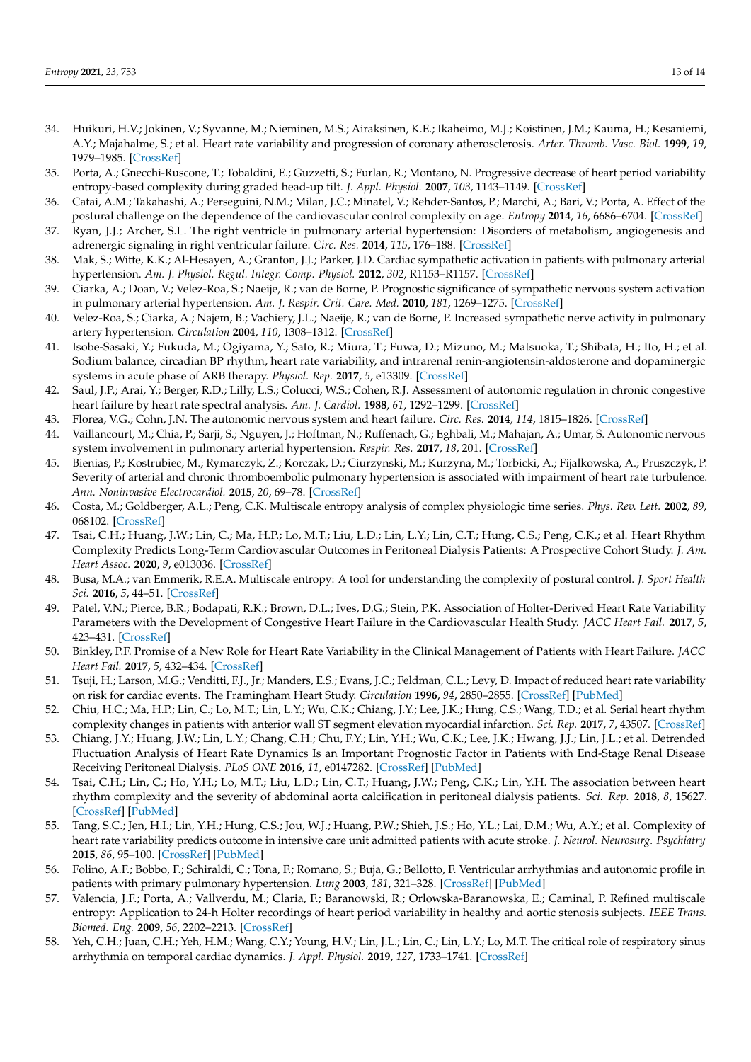- <span id="page-12-0"></span>34. Huikuri, H.V.; Jokinen, V.; Syvanne, M.; Nieminen, M.S.; Airaksinen, K.E.; Ikaheimo, M.J.; Koistinen, J.M.; Kauma, H.; Kesaniemi, A.Y.; Majahalme, S.; et al. Heart rate variability and progression of coronary atherosclerosis. *Arter. Thromb. Vasc. Biol.* **1999**, *19*, 1979–1985. [\[CrossRef\]](http://doi.org/10.1161/01.ATV.19.8.1979)
- <span id="page-12-1"></span>35. Porta, A.; Gnecchi-Ruscone, T.; Tobaldini, E.; Guzzetti, S.; Furlan, R.; Montano, N. Progressive decrease of heart period variability entropy-based complexity during graded head-up tilt. *J. Appl. Physiol.* **2007**, *103*, 1143–1149. [\[CrossRef\]](http://doi.org/10.1152/japplphysiol.00293.2007)
- <span id="page-12-2"></span>36. Catai, A.M.; Takahashi, A.; Perseguini, N.M.; Milan, J.C.; Minatel, V.; Rehder-Santos, P.; Marchi, A.; Bari, V.; Porta, A. Effect of the postural challenge on the dependence of the cardiovascular control complexity on age. *Entropy* **2014**, *16*, 6686–6704. [\[CrossRef\]](http://doi.org/10.3390/e16126686)
- <span id="page-12-3"></span>37. Ryan, J.J.; Archer, S.L. The right ventricle in pulmonary arterial hypertension: Disorders of metabolism, angiogenesis and adrenergic signaling in right ventricular failure. *Circ. Res.* **2014**, *115*, 176–188. [\[CrossRef\]](http://doi.org/10.1161/CIRCRESAHA.113.301129)
- <span id="page-12-4"></span>38. Mak, S.; Witte, K.K.; Al-Hesayen, A.; Granton, J.J.; Parker, J.D. Cardiac sympathetic activation in patients with pulmonary arterial hypertension. *Am. J. Physiol. Regul. Integr. Comp. Physiol.* **2012**, *302*, R1153–R1157. [\[CrossRef\]](http://doi.org/10.1152/ajpregu.00652.2011)
- <span id="page-12-5"></span>39. Ciarka, A.; Doan, V.; Velez-Roa, S.; Naeije, R.; van de Borne, P. Prognostic significance of sympathetic nervous system activation in pulmonary arterial hypertension. *Am. J. Respir. Crit. Care. Med.* **2010**, *181*, 1269–1275. [\[CrossRef\]](http://doi.org/10.1164/rccm.200912-1856OC)
- <span id="page-12-6"></span>40. Velez-Roa, S.; Ciarka, A.; Najem, B.; Vachiery, J.L.; Naeije, R.; van de Borne, P. Increased sympathetic nerve activity in pulmonary artery hypertension. *Circulation* **2004**, *110*, 1308–1312. [\[CrossRef\]](http://doi.org/10.1161/01.CIR.0000140724.90898.D3)
- <span id="page-12-7"></span>41. Isobe-Sasaki, Y.; Fukuda, M.; Ogiyama, Y.; Sato, R.; Miura, T.; Fuwa, D.; Mizuno, M.; Matsuoka, T.; Shibata, H.; Ito, H.; et al. Sodium balance, circadian BP rhythm, heart rate variability, and intrarenal renin-angiotensin-aldosterone and dopaminergic systems in acute phase of ARB therapy. *Physiol. Rep.* **2017**, *5*, e13309. [\[CrossRef\]](http://doi.org/10.14814/phy2.13309)
- 42. Saul, J.P.; Arai, Y.; Berger, R.D.; Lilly, L.S.; Colucci, W.S.; Cohen, R.J. Assessment of autonomic regulation in chronic congestive heart failure by heart rate spectral analysis. *Am. J. Cardiol.* **1988**, *61*, 1292–1299. [\[CrossRef\]](http://doi.org/10.1016/0002-9149(88)91172-1)
- 43. Florea, V.G.; Cohn, J.N. The autonomic nervous system and heart failure. *Circ. Res.* **2014**, *114*, 1815–1826. [\[CrossRef\]](http://doi.org/10.1161/CIRCRESAHA.114.302589)
- <span id="page-12-8"></span>44. Vaillancourt, M.; Chia, P.; Sarji, S.; Nguyen, J.; Hoftman, N.; Ruffenach, G.; Eghbali, M.; Mahajan, A.; Umar, S. Autonomic nervous system involvement in pulmonary arterial hypertension. *Respir. Res.* **2017**, *18*, 201. [\[CrossRef\]](http://doi.org/10.1186/s12931-017-0679-6)
- <span id="page-12-9"></span>45. Bienias, P.; Kostrubiec, M.; Rymarczyk, Z.; Korczak, D.; Ciurzynski, M.; Kurzyna, M.; Torbicki, A.; Fijalkowska, A.; Pruszczyk, P. Severity of arterial and chronic thromboembolic pulmonary hypertension is associated with impairment of heart rate turbulence. *Ann. Noninvasive Electrocardiol.* **2015**, *20*, 69–78. [\[CrossRef\]](http://doi.org/10.1111/anec.12169)
- <span id="page-12-10"></span>46. Costa, M.; Goldberger, A.L.; Peng, C.K. Multiscale entropy analysis of complex physiologic time series. *Phys. Rev. Lett.* **2002**, *89*, 068102. [\[CrossRef\]](http://doi.org/10.1103/PhysRevLett.89.068102)
- <span id="page-12-11"></span>47. Tsai, C.H.; Huang, J.W.; Lin, C.; Ma, H.P.; Lo, M.T.; Liu, L.D.; Lin, L.Y.; Lin, C.T.; Hung, C.S.; Peng, C.K.; et al. Heart Rhythm Complexity Predicts Long-Term Cardiovascular Outcomes in Peritoneal Dialysis Patients: A Prospective Cohort Study. *J. Am. Heart Assoc.* **2020**, *9*, e013036. [\[CrossRef\]](http://doi.org/10.1161/JAHA.119.013036)
- <span id="page-12-12"></span>48. Busa, M.A.; van Emmerik, R.E.A. Multiscale entropy: A tool for understanding the complexity of postural control. *J. Sport Health Sci.* **2016**, *5*, 44–51. [\[CrossRef\]](http://doi.org/10.1016/j.jshs.2016.01.018)
- <span id="page-12-13"></span>49. Patel, V.N.; Pierce, B.R.; Bodapati, R.K.; Brown, D.L.; Ives, D.G.; Stein, P.K. Association of Holter-Derived Heart Rate Variability Parameters with the Development of Congestive Heart Failure in the Cardiovascular Health Study. *JACC Heart Fail.* **2017**, *5*, 423–431. [\[CrossRef\]](http://doi.org/10.1016/j.jchf.2016.12.015)
- <span id="page-12-14"></span>50. Binkley, P.F. Promise of a New Role for Heart Rate Variability in the Clinical Management of Patients with Heart Failure. *JACC Heart Fail.* **2017**, *5*, 432–434. [\[CrossRef\]](http://doi.org/10.1016/j.jchf.2017.02.008)
- <span id="page-12-15"></span>51. Tsuji, H.; Larson, M.G.; Venditti, F.J., Jr.; Manders, E.S.; Evans, J.C.; Feldman, C.L.; Levy, D. Impact of reduced heart rate variability on risk for cardiac events. The Framingham Heart Study. *Circulation* **1996**, *94*, 2850–2855. [\[CrossRef\]](http://doi.org/10.1161/01.CIR.94.11.2850) [\[PubMed\]](http://www.ncbi.nlm.nih.gov/pubmed/8941112)
- <span id="page-12-16"></span>52. Chiu, H.C.; Ma, H.P.; Lin, C.; Lo, M.T.; Lin, L.Y.; Wu, C.K.; Chiang, J.Y.; Lee, J.K.; Hung, C.S.; Wang, T.D.; et al. Serial heart rhythm complexity changes in patients with anterior wall ST segment elevation myocardial infarction. *Sci. Rep.* **2017**, *7*, 43507. [\[CrossRef\]](http://doi.org/10.1038/srep43507)
- <span id="page-12-17"></span>53. Chiang, J.Y.; Huang, J.W.; Lin, L.Y.; Chang, C.H.; Chu, F.Y.; Lin, Y.H.; Wu, C.K.; Lee, J.K.; Hwang, J.J.; Lin, J.L.; et al. Detrended Fluctuation Analysis of Heart Rate Dynamics Is an Important Prognostic Factor in Patients with End-Stage Renal Disease Receiving Peritoneal Dialysis. *PLoS ONE* **2016**, *11*, e0147282. [\[CrossRef\]](http://doi.org/10.1371/journal.pone.0147282) [\[PubMed\]](http://www.ncbi.nlm.nih.gov/pubmed/26828209)
- <span id="page-12-18"></span>54. Tsai, C.H.; Lin, C.; Ho, Y.H.; Lo, M.T.; Liu, L.D.; Lin, C.T.; Huang, J.W.; Peng, C.K.; Lin, Y.H. The association between heart rhythm complexity and the severity of abdominal aorta calcification in peritoneal dialysis patients. *Sci. Rep.* **2018**, *8*, 15627. [\[CrossRef\]](http://doi.org/10.1038/s41598-018-33789-x) [\[PubMed\]](http://www.ncbi.nlm.nih.gov/pubmed/30353094)
- <span id="page-12-19"></span>55. Tang, S.C.; Jen, H.I.; Lin, Y.H.; Hung, C.S.; Jou, W.J.; Huang, P.W.; Shieh, J.S.; Ho, Y.L.; Lai, D.M.; Wu, A.Y.; et al. Complexity of heart rate variability predicts outcome in intensive care unit admitted patients with acute stroke. *J. Neurol. Neurosurg. Psychiatry* **2015**, *86*, 95–100. [\[CrossRef\]](http://doi.org/10.1136/jnnp-2014-308389) [\[PubMed\]](http://www.ncbi.nlm.nih.gov/pubmed/25053768)
- <span id="page-12-20"></span>56. Folino, A.F.; Bobbo, F.; Schiraldi, C.; Tona, F.; Romano, S.; Buja, G.; Bellotto, F. Ventricular arrhythmias and autonomic profile in patients with primary pulmonary hypertension. *Lung* **2003**, *181*, 321–328. [\[CrossRef\]](http://doi.org/10.1007/s00408-003-1034-x) [\[PubMed\]](http://www.ncbi.nlm.nih.gov/pubmed/14749936)
- <span id="page-12-21"></span>57. Valencia, J.F.; Porta, A.; Vallverdu, M.; Claria, F.; Baranowski, R.; Orlowska-Baranowska, E.; Caminal, P. Refined multiscale entropy: Application to 24-h Holter recordings of heart period variability in healthy and aortic stenosis subjects. *IEEE Trans. Biomed. Eng.* **2009**, *56*, 2202–2213. [\[CrossRef\]](http://doi.org/10.1109/TBME.2009.2021986)
- <span id="page-12-22"></span>58. Yeh, C.H.; Juan, C.H.; Yeh, H.M.; Wang, C.Y.; Young, H.V.; Lin, J.L.; Lin, C.; Lin, L.Y.; Lo, M.T. The critical role of respiratory sinus arrhythmia on temporal cardiac dynamics. *J. Appl. Physiol.* **2019**, *127*, 1733–1741. [\[CrossRef\]](http://doi.org/10.1152/japplphysiol.00262.2019)